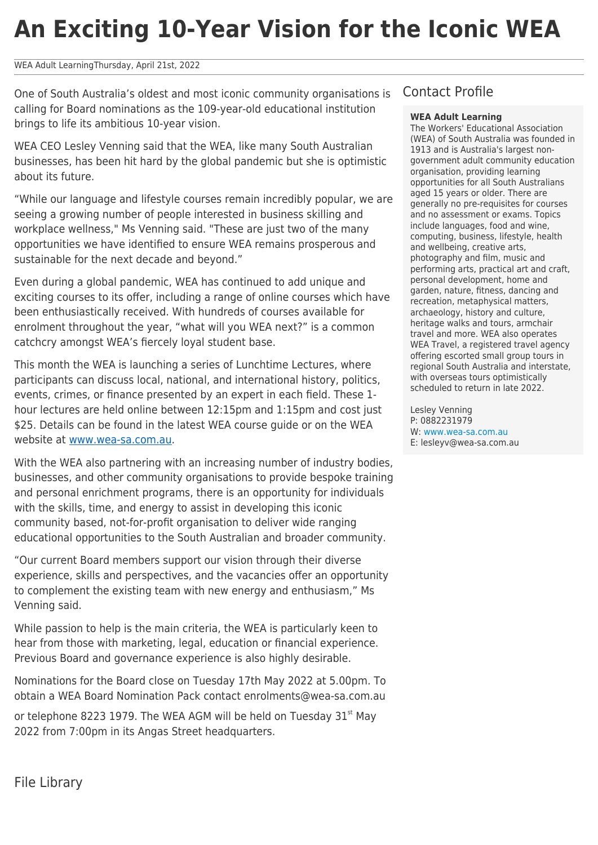# **An Exciting 10-Year Vision for the Iconic WEA**

## WEA Adult LearningThursday, April 21st, 2022

One of South Australia's oldest and most iconic community organisations is calling for Board nominations as the 109-year-old educational institution brings to life its ambitious 10-year vision.

WEA CEO Lesley Venning said that the WEA, like many South Australian businesses, has been hit hard by the global pandemic but she is optimistic about its future.

"While our language and lifestyle courses remain incredibly popular, we are seeing a growing number of people interested in business skilling and workplace wellness," Ms Venning said. "These are just two of the many opportunities we have identified to ensure WEA remains prosperous and sustainable for the next decade and beyond."

Even during a global pandemic, WEA has continued to add unique and exciting courses to its offer, including a range of online courses which have been enthusiastically received. With hundreds of courses available for enrolment throughout the year, "what will you WEA next?" is a common catchcry amongst WEA's fiercely loyal student base.

This month the WEA is launching a series of Lunchtime Lectures, where participants can discuss local, national, and international history, politics, events, crimes, or finance presented by an expert in each field. These 1 hour lectures are held online between 12:15pm and 1:15pm and cost just \$25. Details can be found in the latest WEA course guide or on the WEA website at [www.wea-sa.com.au](http://www.wea-sa.com.au).

With the WEA also partnering with an increasing number of industry bodies, businesses, and other community organisations to provide bespoke training and personal enrichment programs, there is an opportunity for individuals with the skills, time, and energy to assist in developing this iconic community based, not-for-profit organisation to deliver wide ranging educational opportunities to the South Australian and broader community.

"Our current Board members support our vision through their diverse experience, skills and perspectives, and the vacancies offer an opportunity to complement the existing team with new energy and enthusiasm," Ms Venning said.

While passion to help is the main criteria, the WEA is particularly keen to hear from those with marketing, legal, education or financial experience. Previous Board and governance experience is also highly desirable.

Nominations for the Board close on Tuesday 17th May 2022 at 5.00pm. To obtain a WEA Board Nomination Pack contact enrolments@wea-sa.com.au

or telephone 8223 1979. The WEA AGM will be held on Tuesday  $31<sup>st</sup>$  May 2022 from 7:00pm in its Angas Street headquarters.

# Contact Profile

## **WEA Adult Learning**

The Workers' Educational Association (WEA) of South Australia was founded in 1913 and is Australia's largest nongovernment adult community education organisation, providing learning opportunities for all South Australians aged 15 years or older. There are generally no pre-requisites for courses and no assessment or exams. Topics include languages, food and wine, computing, business, lifestyle, health and wellbeing, creative arts, photography and film, music and performing arts, practical art and craft, personal development, home and garden, nature, fitness, dancing and recreation, metaphysical matters, archaeology, history and culture, heritage walks and tours, armchair travel and more. WEA also operates WEA Travel, a registered travel agency offering escorted small group tours in regional South Australia and interstate, with overseas tours optimistically scheduled to return in late 2022.

Lesley Venning P: 0882231979 W: [www.wea-sa.com.au](http://www.wea-sa.com.au) E: lesleyv@wea-sa.com.au

File Library